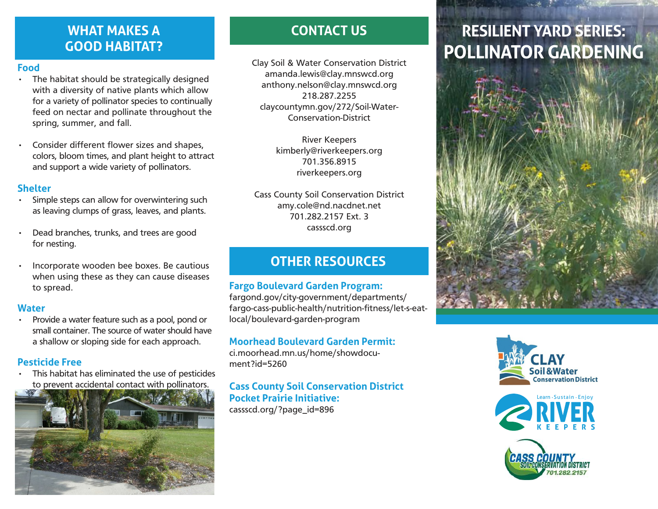## **WHAT MAKES A GOOD HABITAT?**

#### **Food**

- The habitat should be strategically designed with a diversity of native plants which allow for a variety of pollinator species to continually feed on nectar and pollinate throughout the spring, summer, and fall.
- Consider different flower sizes and shapes, colors, bloom times, and plant height to attract and support a wide variety of pollinators.

#### **Shelter**

- Simple steps can allow for overwintering such as leaving clumps of grass, leaves, and plants.
- Dead branches, trunks, and trees are good for nesting.
- Incorporate wooden bee boxes. Be cautious when using these as they can cause diseases to spread.

#### **Water**

• Provide a water feature such as a pool, pond or small container. The source of water should have a shallow or sloping side for each approach.

## **Pesticide Free**

This habitat has eliminated the use of pesticides to prevent accidental contact with pollinators.



# **CONTACT US**

Clay Soil & Water Conservation District amanda.lewis@clay.mnswcd.org anthony.nelson@clay.mnswcd.org 218.287.2255 claycountymn.gov/272/Soil-Water-Conservation-District

> River Keepers kimberly@riverkeepers.org 701.356.8915 riverkeepers.org

Cass County Soil Conservation District amy.cole@nd.nacdnet.net 701.282.2157 Ext. 3 cassscd.org

# **OTHER RESOURCES**

## **Fargo Boulevard Garden Program:**

fargond.gov/city-government/departments/ fargo-cass-public-health/nutrition-fitness/let-s-eatlocal/boulevard-garden-program

## **Moorhead Boulevard Garden Permit:**

ci.moorhead.mn.us/home/showdocument?id=5260

**Cass County Soil Conservation District Pocket Prairie Initiative:** cassscd.org/?page\_id=896

# **RESILIENT YARD SERIES: POLLINATOR GARDENING**